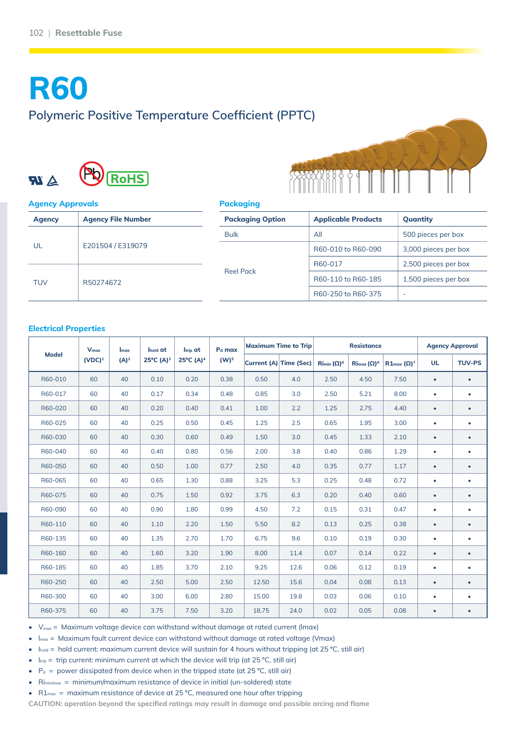# **R60 Polymeric Positive Temperature Coefficient (PPTC)**





#### **Agency Approvals**

| <b>Agency</b> | <b>Agency File Number</b> |
|---------------|---------------------------|
| UL            | E201504 / E319079         |
| <b>TUV</b>    | R50274672                 |

#### **Packaging**

|                                                                       | <b>Applicable Products</b> | Quantity             |  |  |  |
|-----------------------------------------------------------------------|----------------------------|----------------------|--|--|--|
|                                                                       | All                        | 500 pieces per box   |  |  |  |
| <b>Packaging Option</b><br><b>Bulk</b><br>R60-017<br><b>Reel Pack</b> | R60-010 to R60-090         | 3,000 pieces per box |  |  |  |
|                                                                       |                            | 2,500 pieces per box |  |  |  |
|                                                                       | R60-110 to R60-185         | 1,500 pieces per box |  |  |  |
|                                                                       | R60-250 to R60-375         |                      |  |  |  |

#### **Electrical Properties**

| <b>Model</b> | $V_{\text{max}}$<br>(VDC) <sup>1</sup> | $I_{\text{max}}$<br>$(A)^2$ | Ihold at<br>25°C (A) <sup>3</sup> | l <sub>trip</sub> at<br>25°C (A) <sup>4</sup> | P <sub>d</sub> max<br>$(W)^5$ | <b>Maximum Time to Trip</b> |                        | <b>Resistance</b>  |                    |                              | <b>Agency Approval</b> |               |
|--------------|----------------------------------------|-----------------------------|-----------------------------------|-----------------------------------------------|-------------------------------|-----------------------------|------------------------|--------------------|--------------------|------------------------------|------------------------|---------------|
|              |                                        |                             |                                   |                                               |                               |                             | Current (A) Time (Sec) | $Rimin (\Omega)^6$ | $Rimax (\Omega)^6$ | $R1_{\text{max}} (\Omega)^7$ | <b>UL</b>              | <b>TUV-PS</b> |
| R60-010      | 60                                     | 40                          | 0.10                              | 0.20                                          | 0.38                          | 0.50                        | 4.0                    | 2.50               | 4.50               | 7.50                         | $\bullet$              | $\bullet$     |
| R60-017      | 60                                     | 40                          | 0.17                              | 0.34                                          | 0.48                          | 0.85                        | 3.0                    | 2.50               | 5.21               | 8.00                         | $\bullet$              | $\bullet$     |
| R60-020      | 60                                     | 40                          | 0.20                              | 0.40                                          | 0.41                          | 1.00                        | 2.2                    | 1.25               | 2.75               | 4.40                         | $\bullet$              | $\bullet$     |
| R60-025      | 60                                     | 40                          | 0.25                              | 0.50                                          | 0.45                          | 1.25                        | 2.5                    | 0.65               | 1.95               | 3.00                         | $\bullet$              | $\bullet$     |
| R60-030      | 60                                     | 40                          | 0.30                              | 0.60                                          | 0.49                          | 1.50                        | 3.0                    | 0.45               | 1.33               | 2.10                         | $\bullet$              | $\bullet$     |
| R60-040      | 60                                     | 40                          | 0.40                              | 0.80                                          | 0.56                          | 2.00                        | 3.8                    | 0.40               | 0.86               | 1.29                         | $\bullet$              | $\bullet$     |
| R60-050      | 60                                     | 40                          | 0.50                              | 1.00                                          | 0.77                          | 2.50                        | 4.0                    | 0.35               | 0.77               | 1.17                         | $\bullet$              | $\bullet$     |
| R60-065      | 60                                     | 40                          | 0.65                              | 1.30                                          | 0.88                          | 3.25                        | 5.3                    | 0.25               | 0.48               | 0.72                         | $\bullet$              | $\bullet$     |
| R60-075      | 60                                     | 40                          | 0.75                              | 1.50                                          | 0.92                          | 3.75                        | 6.3                    | 0.20               | 0.40               | 0.60                         | $\bullet$              | $\bullet$     |
| R60-090      | 60                                     | 40                          | 0.90                              | 1.80                                          | 0.99                          | 4.50                        | 7.2                    | 0.15               | 0.31               | 0.47                         | $\bullet$              | $\bullet$     |
| R60-110      | 60                                     | 40                          | 1.10                              | 2.20                                          | 1.50                          | 5.50                        | 8.2                    | 0.13               | 0.25               | 0.38                         | $\bullet$              | $\bullet$     |
| R60-135      | 60                                     | 40                          | 1.35                              | 2.70                                          | 1.70                          | 6.75                        | 9.6                    | 0.10               | 0.19               | 0.30                         | $\bullet$              | ٠             |
| R60-160      | 60                                     | 40                          | 1.60                              | 3.20                                          | 1.90                          | 8.00                        | 11.4                   | 0.07               | 0.14               | 0.22                         | $\bullet$              | $\bullet$     |
| R60-185      | 60                                     | 40                          | 1.85                              | 3.70                                          | 2.10                          | 9.25                        | 12.6                   | 0.06               | 0.12               | 0.19                         | $\bullet$              | $\bullet$     |
| R60-250      | 60                                     | 40                          | 2.50                              | 5.00                                          | 2.50                          | 12.50                       | 15.6                   | 0.04               | 0.08               | 0.13                         | $\bullet$              | $\bullet$     |
| R60-300      | 60                                     | 40                          | 3.00                              | 6.00                                          | 2.80                          | 15.00                       | 19.8                   | 0.03               | 0.06               | 0.10                         | ۰                      | $\bullet$     |
| R60-375      | 60                                     | 40                          | 3.75                              | 7.50                                          | 3.20                          | 18.75                       | 24.0                   | 0.02               | 0.05               | 0.08                         | $\bullet$              | $\bullet$     |

 $V_{\text{max}}$  = Maximum voltage device can withstand without damage at rated current (Imax)

 $I_{\text{max}}$  = Maximum fault current device can withstand without damage at rated voltage (Vmax)

Ihold = hold current: maximum current device will sustain for 4 hours without tripping (at 25 °C, still air)

- $I_{\text{trip}}$  = trip current: minimum current at which the device will trip (at 25 °C, still air)
- $P_d$  = power dissipated from device when in the tripped state (at 25 °C, still air)
- Rimin/max = minimum/maximum resistance of device in initial (un-soldered) state

•  $R1_{\text{max}}$  = maximum resistance of device at 25 °C, measured one hour after tripping

**CAUTION: operation beyond the specified ratings may result in damage and possible arcing and flame**